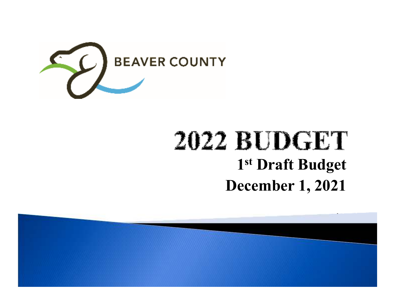

## **2022 BUDGET 1st Draft BudgetDecember 1, 2021**

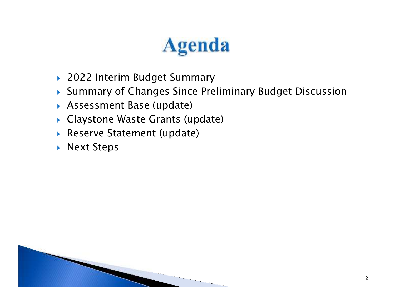# **Agenda**

- 2022 Interim Budget Summary
- Summary of Changes Since Preliminary Budget Discussion
- Assessment Base (update)
- Claystone Waste Grants (update)
- Reserve Statement (update)
- $\blacktriangleright$  Next Steps

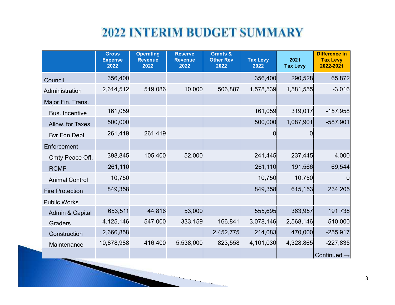#### **2022 INTERIM BUDGET SUMMARY**

|                        | <b>Gross</b><br><b>Expense</b><br>2022 | <b>Operating</b><br><b>Revenue</b><br>2022 | <b>Reserve</b><br><b>Revenue</b><br>2022 | <b>Grants &amp;</b><br><b>Other Rev</b><br>2022 | <b>Tax Levy</b><br>2022 | 2021<br><b>Tax Levy</b> | <b>Difference in</b><br><b>Tax Levy</b><br>2022-2021 |
|------------------------|----------------------------------------|--------------------------------------------|------------------------------------------|-------------------------------------------------|-------------------------|-------------------------|------------------------------------------------------|
| Council                | 356,400                                |                                            |                                          |                                                 | 356,400                 | 290,528                 | 65,872                                               |
| Administration         | 2,614,512                              | 519,086                                    | 10,000                                   | 506,887                                         | 1,578,539               | 1,581,555               | $-3,016$                                             |
| Major Fin. Trans.      |                                        |                                            |                                          |                                                 |                         |                         |                                                      |
| <b>Bus. Incentive</b>  | 161,059                                |                                            |                                          |                                                 | 161,059                 | 319,017                 | $-157,958$                                           |
| Allow. for Taxes       | 500,000                                |                                            |                                          |                                                 | 500,000                 | 1,087,901               | $-587,901$                                           |
| <b>Bvr Fdn Debt</b>    | 261,419                                | 261,419                                    |                                          |                                                 | 0                       |                         |                                                      |
| Enforcement            |                                        |                                            |                                          |                                                 |                         |                         |                                                      |
| Cmty Peace Off.        | 398,845                                | 105,400                                    | 52,000                                   |                                                 | 241,445                 | 237,445                 | 4,000                                                |
| <b>RCMP</b>            | 261,110                                |                                            |                                          |                                                 | 261,110                 | 191,566                 | 69,544                                               |
| <b>Animal Control</b>  | 10,750                                 |                                            |                                          |                                                 | 10,750                  | 10,750                  | 0                                                    |
| <b>Fire Protection</b> | 849,358                                |                                            |                                          |                                                 | 849,358                 | 615,153                 | 234,205                                              |
| <b>Public Works</b>    |                                        |                                            |                                          |                                                 |                         |                         |                                                      |
| Admin & Capital        | 653,511                                | 44,816                                     | 53,000                                   |                                                 | 555,695                 | 363,957                 | 191,738                                              |
| <b>Graders</b>         | 4,125,146                              | 547,000                                    | 333,159                                  | 166,841                                         | 3,078,146               | 2,568,146               | 510,000                                              |
| Construction           | 2,666,858                              |                                            |                                          | 2,452,775                                       | 214,083                 | 470,000                 | $-255,917$                                           |
| Maintenance            | 10,878,988                             | 416,400                                    | 5,538,000                                | 823,558                                         | 4,101,030               | 4,328,865               | $-227,835$                                           |
|                        |                                        |                                            |                                          |                                                 |                         |                         | Continued $\rightarrow$                              |

**STATISTICS**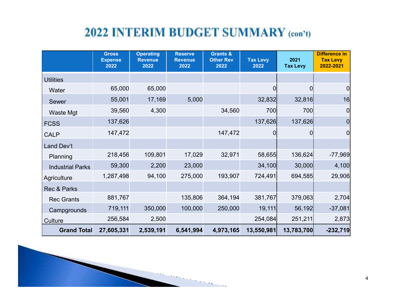#### 2022 INTERIM BUDGET SUMMARY (con't)

|                         | <b>Gross</b><br><b>Expense</b><br>2022 | <b>Operating</b><br><b>Revenue</b><br>2022 | <b>Reserve</b><br><b>Revenue</b><br>2022 | <b>Grants &amp;</b><br><b>Other Rev</b><br>2022 | <b>Tax Levy</b><br>2022 | 2021<br><b>Tax Levy</b> | <b>Difference in</b><br><b>Tax Levy</b><br>2022-2021 |
|-------------------------|----------------------------------------|--------------------------------------------|------------------------------------------|-------------------------------------------------|-------------------------|-------------------------|------------------------------------------------------|
| <b>Utilities</b>        |                                        |                                            |                                          |                                                 |                         |                         |                                                      |
| Water                   | 65,000                                 | 65,000                                     |                                          |                                                 | 0                       | 0                       | 0                                                    |
| Sewer                   | 55,001                                 | 17,169                                     | 5,000                                    |                                                 | 32,832                  | 32,816                  | 16                                                   |
| <b>Waste Mgt</b>        | 39,560                                 | 4,300                                      |                                          | 34,560                                          | 700                     | 700                     | $\overline{0}$                                       |
| <b>FCSS</b>             | 137,626                                |                                            |                                          |                                                 | 137,626                 | 137,626                 | 0                                                    |
| <b>CALP</b>             | 147,472                                |                                            |                                          | 147,472                                         | 0                       | ΩI                      | $\overline{0}$                                       |
| Land Dev't              |                                        |                                            |                                          |                                                 |                         |                         |                                                      |
| Planning                | 218,456                                | 109,801                                    | 17,029                                   | 32,971                                          | 58,655                  | 136,624                 | $-77,969$                                            |
| <b>Industrial Parks</b> | 59,300                                 | 2,200                                      | 23,000                                   |                                                 | 34,100                  | 30,000                  | 4,100                                                |
| Agriculture             | 1,287,498                              | 94,100                                     | 275,000                                  | 193,907                                         | 724,491                 | 694,585                 | 29,906                                               |
| Rec & Parks             |                                        |                                            |                                          |                                                 |                         |                         |                                                      |
| <b>Rec Grants</b>       | 881,767                                |                                            | 135,806                                  | 364,194                                         | 381,767                 | 379,063                 | 2,704                                                |
| Campgrounds             | 719,111                                | 350,000                                    | 100,000                                  | 250,000                                         | 19,111                  | 56,192                  | $-37,081$                                            |
| Culture                 | 256,584                                | 2,500                                      |                                          |                                                 | 254,084                 | 251,211                 | 2,873                                                |
| <b>Grand Total</b>      | 27,605,331                             | 2,539,191                                  | 6,541,994                                | 4,973,165                                       | 13,550,981              | 13,783,700              | $-232,719$                                           |

 $\sim$  1.1  $\,$ 

4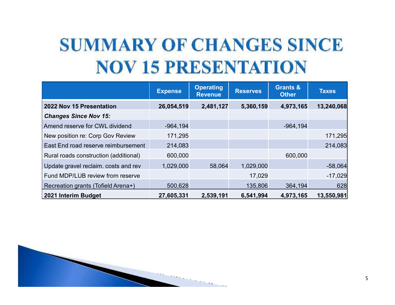## **SUMMARY OF CHANGES SINCE NOV 15 PRESENTATION**

|                                       | <b>Expense</b> | <b>Operating</b><br><b>Revenue</b> | <b>Reserves</b> | <b>Grants &amp;</b><br><b>Other</b> | <b>Taxes</b> |
|---------------------------------------|----------------|------------------------------------|-----------------|-------------------------------------|--------------|
| 2022 Nov 15 Presentation              | 26,054,519     | 2,481,127                          | 5,360,159       | 4,973,165                           | 13,240,068   |
| <b>Changes Since Nov 15:</b>          |                |                                    |                 |                                     |              |
| Amend reserve for CWL dividend        | $-964, 194$    |                                    |                 | $-964, 194$                         |              |
| New position re: Corp Gov Review      | 171,295        |                                    |                 |                                     | 171,295      |
| East End road reserve reimbursement   | 214,083        |                                    |                 |                                     | 214,083      |
| Rural roads construction (additional) | 600,000        |                                    |                 | 600,000                             |              |
| Update gravel reclaim. costs and rev  | 1,029,000      | 58,064                             | 1,029,000       |                                     | $-58,064$    |
| Fund MDP/LUB review from reserve      |                |                                    | 17,029          |                                     | $-17,029$    |
| Recreation grants (Tofield Arena+)    | 500,628        |                                    | 135,806         | 364,194                             | 628          |
| 2021 Interim Budget                   | 27,605,331     | 2,539,191                          | 6,541,994       | 4,973,165                           | 13,550,981   |

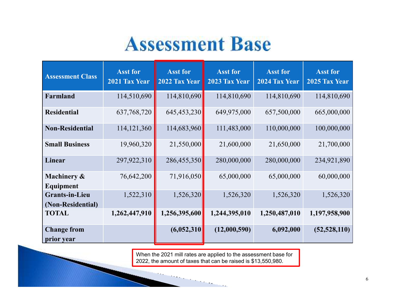## **Assessment Base**

| <b>Assessment Class</b>                    | <b>Asst for</b><br>2021 Tax Year | <b>Asst for</b><br>2022 Tax Year | <b>Asst for</b><br>2023 Tax Year | <b>Asst for</b><br>2024 Tax Year | <b>Asst for</b><br>2025 Tax Year |
|--------------------------------------------|----------------------------------|----------------------------------|----------------------------------|----------------------------------|----------------------------------|
| Farmland                                   | 114,510,690                      | 114,810,690                      | 114,810,690                      | 114,810,690                      | 114,810,690                      |
| <b>Residential</b>                         | 637,768,720                      | 645,453,230                      | 649,975,000                      | 657,500,000                      | 665,000,000                      |
| <b>Non-Residential</b>                     | 114, 121, 360                    | 114,683,960                      | 111,483,000                      | 110,000,000                      | 100,000,000                      |
| <b>Small Business</b>                      | 19,960,320                       | 21,550,000                       | 21,600,000                       | 21,650,000                       | 21,700,000                       |
| Linear                                     | 297,922,310                      | 286,455,350                      | 280,000,000                      | 280,000,000                      | 234,921,890                      |
| Machinery &<br>Equipment                   | 76,642,200                       | 71,916,050                       | 65,000,000                       | 65,000,000                       | 60,000,000                       |
| <b>Grants-in-Lieu</b><br>(Non-Residential) | 1,522,310                        | 1,526,320                        | 1,526,320                        | 1,526,320                        | 1,526,320                        |
| <b>TOTAL</b>                               | 1,262,447,910                    | 1,256,395,600                    | 1,244,395,010                    | 1,250,487,010                    | 1,197,958,900                    |
| <b>Change from</b><br>prior year           |                                  | (6,052,310)                      | (12,000,590)                     | 6,092,000                        | (52, 528, 110)                   |

When the 2021 mill rates are applied to the assessment base for 2022, the amount of taxes that can be raised is \$13,550,980.

 $\sim$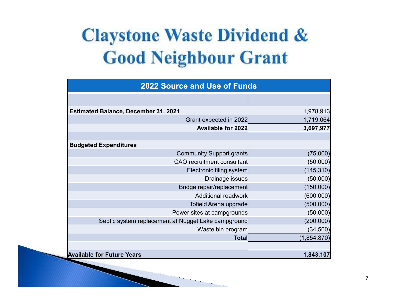## **Claystone Waste Dividend & Good Neighbour Grant**

| <b>2022 Source and Use of Funds</b>                 |               |  |  |  |  |
|-----------------------------------------------------|---------------|--|--|--|--|
|                                                     |               |  |  |  |  |
| <b>Estimated Balance, December 31, 2021</b>         | 1,978,913     |  |  |  |  |
| Grant expected in 2022                              | 1,719,064     |  |  |  |  |
| <b>Available for 2022</b>                           | 3,697,977     |  |  |  |  |
|                                                     |               |  |  |  |  |
| <b>Budgeted Expenditures</b>                        |               |  |  |  |  |
| <b>Community Support grants</b>                     | (75,000)      |  |  |  |  |
| <b>CAO</b> recruitment consultant                   | (50,000)      |  |  |  |  |
| Electronic filing system                            | (145, 310)    |  |  |  |  |
| Drainage issues                                     | (50,000)      |  |  |  |  |
| Bridge repair/replacement                           | (150,000)     |  |  |  |  |
| <b>Additional roadwork</b>                          | (600, 000)    |  |  |  |  |
| <b>Tofield Arena upgrade</b>                        | (500,000)     |  |  |  |  |
| Power sites at campgrounds                          | (50,000)      |  |  |  |  |
| Septic system replacement at Nugget Lake campground | (200,000)     |  |  |  |  |
| Waste bin program                                   | (34, 560)     |  |  |  |  |
| <b>Total</b>                                        | (1, 854, 870) |  |  |  |  |
|                                                     |               |  |  |  |  |
| <b>Available for Future Years</b>                   | 1,843,107     |  |  |  |  |

 $\mathcal{L}_{\mathcal{A}}$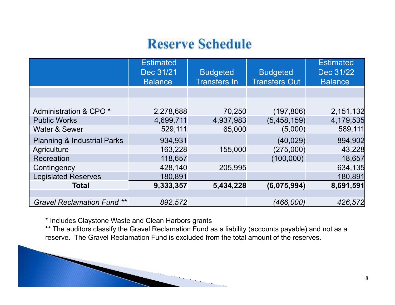### **Reserve Schedule**

|                                        | <b>Estimated</b><br>Dec 31/21<br><b>Balance</b> | <b>Budgeted</b><br><b>Transfers In</b> | <b>Budgeted</b><br><b>Transfers Out</b> | <b>Estimated</b><br>Dec 31/22<br><b>Balance</b> |
|----------------------------------------|-------------------------------------------------|----------------------------------------|-----------------------------------------|-------------------------------------------------|
|                                        |                                                 |                                        |                                         |                                                 |
|                                        |                                                 |                                        |                                         |                                                 |
| Administration & CPO <sup>*</sup>      | 2,278,688                                       | 70,250                                 | (197, 806)                              | 2,151,132                                       |
| <b>Public Works</b>                    | 4,699,711                                       | 4,937,983                              | (5,458,159)                             | 4,179,535                                       |
| <b>Water &amp; Sewer</b>               | 529,111                                         | 65,000                                 | (5,000)                                 | 589,111                                         |
| <b>Planning &amp; Industrial Parks</b> | 934,931                                         |                                        | (40, 029)                               | 894,902                                         |
| Agriculture                            | 163,228                                         | 155,000                                | (275,000)                               | 43,228                                          |
| Recreation                             | 118,657                                         |                                        | (100,000)                               | 18,657                                          |
| Contingency                            | 428,140                                         | 205,995                                |                                         | 634,135                                         |
| <b>Legislated Reserves</b>             | 180,891                                         |                                        |                                         | 180,891                                         |
| <b>Total</b>                           | 9,333,357                                       | 5,434,228                              | (6,075,994)                             | 8,691,591                                       |
|                                        |                                                 |                                        |                                         |                                                 |
| <b>Gravel Reclamation Fund **</b>      | 892,572                                         |                                        | (466,000)                               | 426,572                                         |

\* Includes Claystone Waste and Clean Harbors grants

 \*\* The auditors classify the Gravel Reclamation Fund as a liability (accounts payable) and not as a reserve. The Gravel Reclamation Fund is excluded from the total amount of the reserves.

 $\cdots$